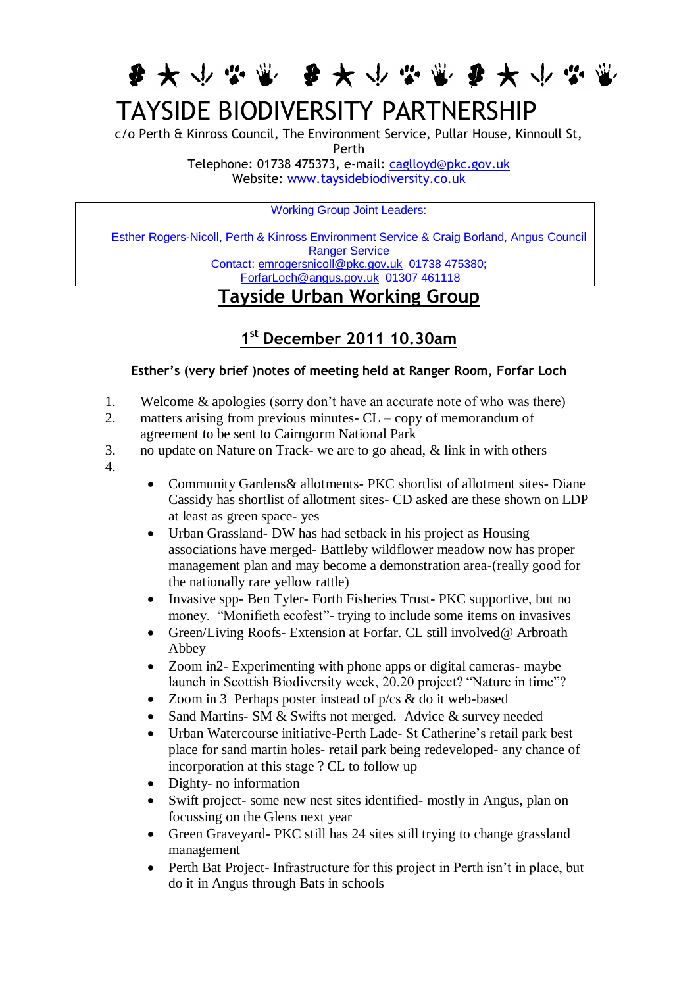每天小心觉 每天小心觉 每天小心觉

## TAYSIDE BIODIVERSITY PARTNERSHIP

c/o Perth & Kinross Council, The Environment Service, Pullar House, Kinnoull St, Perth Telephone: 01738 475373, e-mail: [caglloyd@pkc.gov.uk](mailto:caglloyd@pkc.gov.uk)

Website: [www.taysidebiodiversity.co.uk](http://www.taysidebiodiversity.co.uk/)

Working Group Joint Leaders:

Esther Rogers-Nicoll, Perth & Kinross Environment Service & Craig Borland, Angus Council Ranger Service Contact: [emrogersnicoll@pkc.gov.uk](mailto:emrogersnicoll@pkc.gov.uk) 01738 475380; [ForfarLoch@angus.gov.uk](mailto:ForfarLoch@angus.gov.uk) 01307 461118

## **Tayside Urban Working Group**

## **1 st December 2011 10.30am**

## **Esther's (very brief )notes of meeting held at Ranger Room, Forfar Loch**

- 1. Welcome & apologies (sorry don't have an accurate note of who was there)
- 2. matters arising from previous minutes-  $CL copy$  of memorandum of agreement to be sent to Cairngorm National Park
- 3. no update on Nature on Track- we are to go ahead, & link in with others
- 4.
- Community Gardens& allotments- PKC shortlist of allotment sites- Diane Cassidy has shortlist of allotment sites- CD asked are these shown on LDP at least as green space- yes
- Urban Grassland- DW has had setback in his project as Housing associations have merged- Battleby wildflower meadow now has proper management plan and may become a demonstration area-(really good for the nationally rare yellow rattle)
- Invasive spp- Ben Tyler- Forth Fisheries Trust- PKC supportive, but no money. "Monifieth ecofest"- trying to include some items on invasives
- Green/Living Roofs- Extension at Forfar. CL still involved@ Arbroath Abbey
- Zoom in 2- Experimenting with phone apps or digital cameras- maybe launch in Scottish Biodiversity week, 20.20 project? "Nature in time"?
- Zoom in 3 Perhaps poster instead of p/cs & do it web-based
- Sand Martins- SM & Swifts not merged. Advice & survey needed
- Urban Watercourse initiative-Perth Lade- St Catherine's retail park best place for sand martin holes- retail park being redeveloped- any chance of incorporation at this stage ? CL to follow up
- Dighty- no information
- Swift project- some new nest sites identified- mostly in Angus, plan on focussing on the Glens next year
- Green Graveyard- PKC still has 24 sites still trying to change grassland management
- Perth Bat Project- Infrastructure for this project in Perth isn't in place, but do it in Angus through Bats in schools